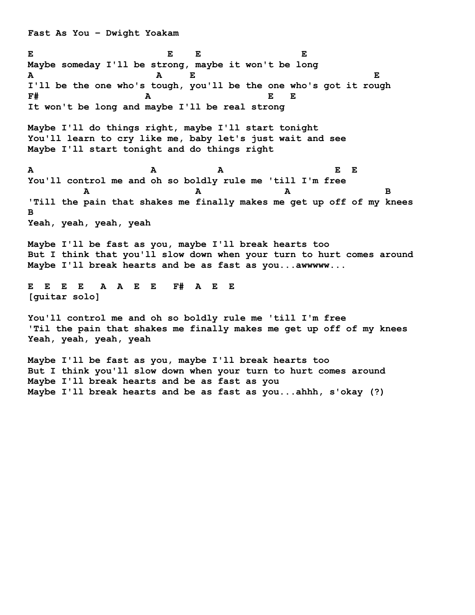**Fast As You – Dwight Yoakam**

**E E E E Maybe someday I'll be strong, maybe it won't be long A A E E I'll be the one who's tough, you'll be the one who's got it rough F# A E E It won't be long and maybe I'll be real strong**

**Maybe I'll do things right, maybe I'll start tonight You'll learn to cry like me, baby let's just wait and see Maybe I'll start tonight and do things right**

**A A A E E You'll control me and oh so boldly rule me 'till I'm free a A A B 'Till the pain that shakes me finally makes me get up off of my knees B Yeah, yeah, yeah, yeah**

**Maybe I'll be fast as you, maybe I'll break hearts too But I think that you'll slow down when your turn to hurt comes around Maybe I'll break hearts and be as fast as you...awwwww...**

**E E E E A A E E F# A E E [guitar solo]**

**You'll control me and oh so boldly rule me 'till I'm free 'Til the pain that shakes me finally makes me get up off of my knees Yeah, yeah, yeah, yeah**

**Maybe I'll be fast as you, maybe I'll break hearts too But I think you'll slow down when your turn to hurt comes around Maybe I'll break hearts and be as fast as you Maybe I'll break hearts and be as fast as you...ahhh, s'okay (?)**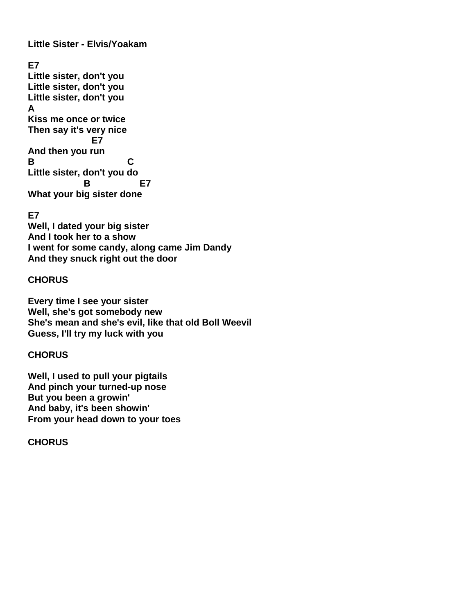**Little Sister - Elvis/Yoakam**

**E7 Little sister, don't you Little sister, don't you Little sister, don't you A Kiss me once or twice Then say it's very nice E7 And then you run B C Little sister, don't you do B E7 What your big sister done**

**E7 Well, I dated your big sister And I took her to a show I went for some candy, along came Jim Dandy And they snuck right out the door**

## **CHORUS**

**Every time I see your sister Well, she's got somebody new She's mean and she's evil, like that old Boll Weevil Guess, I'll try my luck with you**

## **CHORUS**

**Well, I used to pull your pigtails And pinch your turned-up nose But you been a growin' And baby, it's been showin' From your head down to your toes**

**CHORUS**